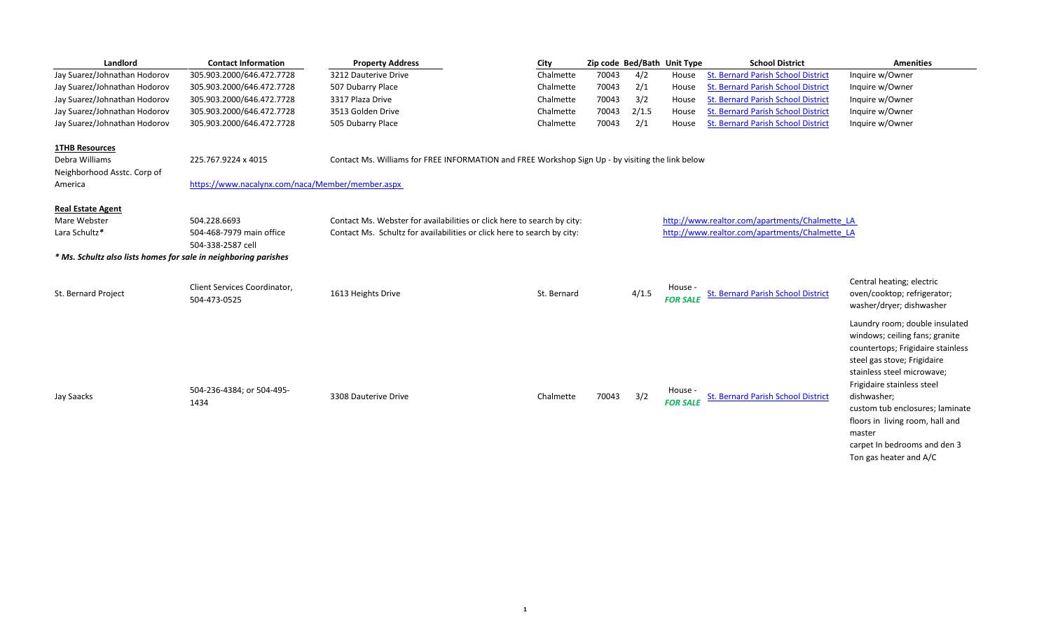| Landlord                                                        | <b>Contact Information</b>                       | <b>Property Address</b>                                                                          | City        |       |       | Zip code Bed/Bath Unit Type | <b>School District</b>                         | <b>Amenities</b>                                                    |
|-----------------------------------------------------------------|--------------------------------------------------|--------------------------------------------------------------------------------------------------|-------------|-------|-------|-----------------------------|------------------------------------------------|---------------------------------------------------------------------|
| Jay Suarez/Johnathan Hodorov                                    | 305.903.2000/646.472.7728                        | 3212 Dauterive Drive                                                                             | Chalmette   | 70043 | 4/2   | House                       | <b>St. Bernard Parish School District</b>      | Inquire w/Owner                                                     |
| Jay Suarez/Johnathan Hodorov                                    | 305.903.2000/646.472.7728                        | 507 Dubarry Place                                                                                | Chalmette   | 70043 | 2/1   | House                       | <b>St. Bernard Parish School District</b>      | Inquire w/Owner                                                     |
| Jay Suarez/Johnathan Hodorov                                    | 305.903.2000/646.472.7728                        | 3317 Plaza Drive                                                                                 | Chalmette   | 70043 | 3/2   | House                       | <b>St. Bernard Parish School District</b>      | Inquire w/Owner                                                     |
| Jay Suarez/Johnathan Hodorov                                    | 305.903.2000/646.472.7728                        | 3513 Golden Drive                                                                                | Chalmette   | 70043 | 2/1.5 | House                       | St. Bernard Parish School District             | Inquire w/Owner                                                     |
| Jay Suarez/Johnathan Hodorov                                    | 305.903.2000/646.472.7728                        | 505 Dubarry Place                                                                                | Chalmette   | 70043 | 2/1   | House                       | <b>St. Bernard Parish School District</b>      | Inquire w/Owner                                                     |
| <b>1THB Resources</b>                                           |                                                  |                                                                                                  |             |       |       |                             |                                                |                                                                     |
| Debra Williams                                                  | 225.767.9224 x 4015                              | Contact Ms. Williams for FREE INFORMATION and FREE Workshop Sign Up - by visiting the link below |             |       |       |                             |                                                |                                                                     |
| Neighborhood Asstc. Corp of                                     |                                                  |                                                                                                  |             |       |       |                             |                                                |                                                                     |
| America                                                         | https://www.nacalynx.com/naca/Member/member.aspx |                                                                                                  |             |       |       |                             |                                                |                                                                     |
| <b>Real Estate Agent</b>                                        |                                                  |                                                                                                  |             |       |       |                             |                                                |                                                                     |
| Mare Webster                                                    | 504.228.6693                                     | Contact Ms. Webster for availabilities or click here to search by city:                          |             |       |       |                             | http://www.realtor.com/apartments/Chalmette LA |                                                                     |
| Lara Schultz*                                                   | 504-468-7979 main office                         | Contact Ms. Schultz for availabilities or click here to search by city:                          |             |       |       |                             | http://www.realtor.com/apartments/Chalmette LA |                                                                     |
|                                                                 | 504-338-2587 cell                                |                                                                                                  |             |       |       |                             |                                                |                                                                     |
| * Ms. Schultz also lists homes for sale in neighboring parishes |                                                  |                                                                                                  |             |       |       |                             |                                                |                                                                     |
|                                                                 |                                                  |                                                                                                  |             |       |       |                             |                                                |                                                                     |
|                                                                 |                                                  |                                                                                                  |             |       |       |                             |                                                | Central heating; electric                                           |
| St. Bernard Project                                             | Client Services Coordinator,                     | 1613 Heights Drive                                                                               | St. Bernard |       | 4/1.5 | House -                     | <b>St. Bernard Parish School District</b>      | oven/cooktop; refrigerator;                                         |
|                                                                 | 504-473-0525                                     |                                                                                                  |             |       |       | <b>FOR SALE</b>             |                                                | washer/dryer; dishwasher                                            |
|                                                                 |                                                  |                                                                                                  |             |       |       |                             |                                                |                                                                     |
|                                                                 |                                                  |                                                                                                  |             |       |       |                             |                                                | Laundry room; double insulated                                      |
|                                                                 |                                                  |                                                                                                  |             |       |       |                             |                                                | windows; ceiling fans; granite<br>countertops; Frigidaire stainless |
|                                                                 |                                                  |                                                                                                  |             |       |       |                             |                                                |                                                                     |
|                                                                 |                                                  |                                                                                                  |             |       |       |                             |                                                | steel gas stove; Frigidaire<br>stainless steel microwave;           |
|                                                                 |                                                  |                                                                                                  |             |       |       |                             |                                                |                                                                     |
|                                                                 | 504-236-4384; or 504-495-                        | 3308 Dauterive Drive                                                                             |             | 70043 | 3/2   | House                       | <b>St. Bernard Parish School District</b>      | Frigidaire stainless steel                                          |
| Jay Saacks                                                      | 1434                                             |                                                                                                  | Chalmette   |       |       | <b>FOR SALE</b>             |                                                | dishwasher;                                                         |
|                                                                 |                                                  |                                                                                                  |             |       |       |                             |                                                | custom tub enclosures; laminate                                     |
|                                                                 |                                                  |                                                                                                  |             |       |       |                             |                                                | floors in living room, hall and                                     |
|                                                                 |                                                  |                                                                                                  |             |       |       |                             |                                                | master                                                              |
|                                                                 |                                                  |                                                                                                  |             |       |       |                             |                                                | carpet In bedrooms and den 3                                        |
|                                                                 |                                                  |                                                                                                  |             |       |       |                             |                                                | Ton gas heater and A/C                                              |
|                                                                 |                                                  |                                                                                                  |             |       |       |                             |                                                |                                                                     |